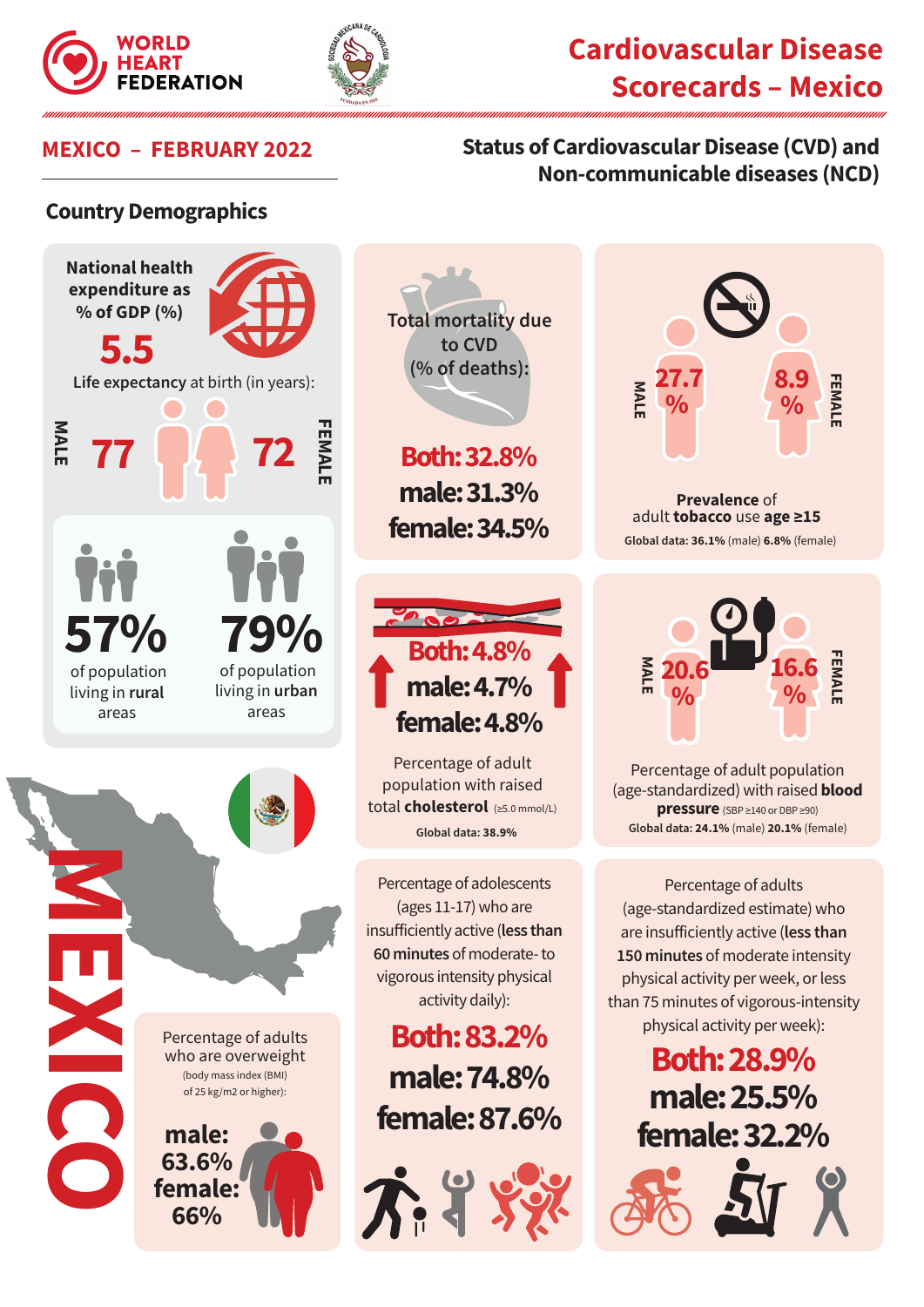



# **Cardiovascular Disease Scorecards – Mexico**

### **MEXICO – FEBRUARY 2022 Status of Cardiovascular Disease (CVD) and Non-communicable diseases (NCD)**

#### **Country Demographics**





**% % 20.6**

Percentage of adult population (age-standardized) with raised **blood pressure** (SBP ≥140 or DBP ≥90) **Global data: 24.1%** (male) **20.1%** (female)

Percentage of adults (age-standardized estimate) who are insufficiently active (**less than 150 minutes** of moderate intensity physical activity per week, or less than 75 minutes of vigorous-intensity physical activity per week):

> **Both: 28.9% male: 25.5% female: 32.2%**